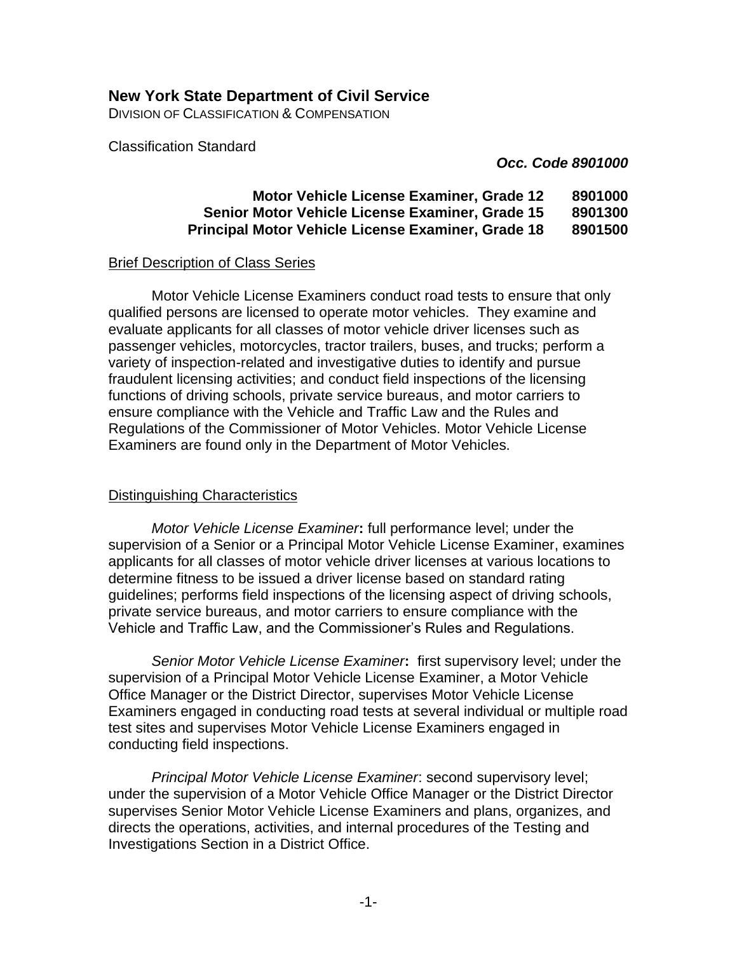## **New York State Department of Civil Service**

DIVISION OF CLASSIFICATION & COMPENSATION

Classification Standard

*Occ. Code 8901000*

## **Motor Vehicle License Examiner, Grade 12 8901000 Senior Motor Vehicle License Examiner, Grade 15 8901300 Principal Motor Vehicle License Examiner, Grade 18 8901500**

#### Brief Description of Class Series

Motor Vehicle License Examiners conduct road tests to ensure that only qualified persons are licensed to operate motor vehicles. They examine and evaluate applicants for all classes of motor vehicle driver licenses such as passenger vehicles, motorcycles, tractor trailers, buses, and trucks; perform a variety of inspection-related and investigative duties to identify and pursue fraudulent licensing activities; and conduct field inspections of the licensing functions of driving schools, private service bureaus, and motor carriers to ensure compliance with the Vehicle and Traffic Law and the Rules and Regulations of the Commissioner of Motor Vehicles. Motor Vehicle License Examiners are found only in the Department of Motor Vehicles.

### Distinguishing Characteristics

*Motor Vehicle License Examiner***:** full performance level; under the supervision of a Senior or a Principal Motor Vehicle License Examiner, examines applicants for all classes of motor vehicle driver licenses at various locations to determine fitness to be issued a driver license based on standard rating guidelines; performs field inspections of the licensing aspect of driving schools, private service bureaus, and motor carriers to ensure compliance with the Vehicle and Traffic Law, and the Commissioner's Rules and Regulations.

*Senior Motor Vehicle License Examiner***:** first supervisory level; under the supervision of a Principal Motor Vehicle License Examiner, a Motor Vehicle Office Manager or the District Director, supervises Motor Vehicle License Examiners engaged in conducting road tests at several individual or multiple road test sites and supervises Motor Vehicle License Examiners engaged in conducting field inspections.

*Principal Motor Vehicle License Examiner*: second supervisory level; under the supervision of a Motor Vehicle Office Manager or the District Director supervises Senior Motor Vehicle License Examiners and plans, organizes, and directs the operations, activities, and internal procedures of the Testing and Investigations Section in a District Office.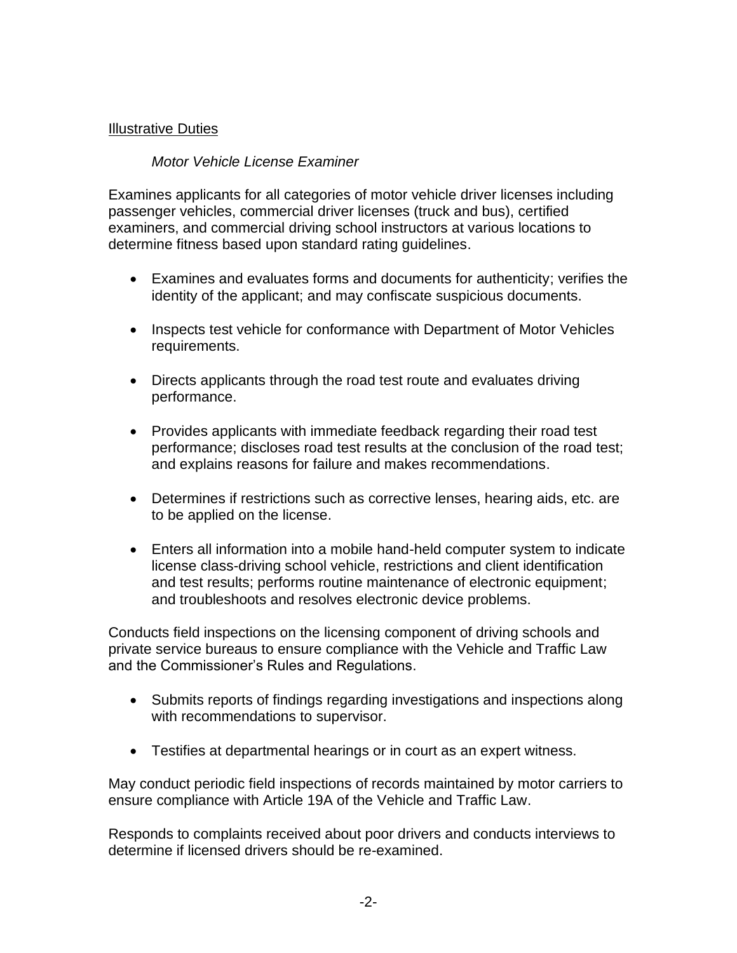## Illustrative Duties

### *Motor Vehicle License Examiner*

Examines applicants for all categories of motor vehicle driver licenses including passenger vehicles, commercial driver licenses (truck and bus), certified examiners, and commercial driving school instructors at various locations to determine fitness based upon standard rating guidelines.

- Examines and evaluates forms and documents for authenticity; verifies the identity of the applicant; and may confiscate suspicious documents.
- Inspects test vehicle for conformance with Department of Motor Vehicles requirements.
- Directs applicants through the road test route and evaluates driving performance.
- Provides applicants with immediate feedback regarding their road test performance; discloses road test results at the conclusion of the road test; and explains reasons for failure and makes recommendations.
- Determines if restrictions such as corrective lenses, hearing aids, etc. are to be applied on the license.
- Enters all information into a mobile hand-held computer system to indicate license class-driving school vehicle, restrictions and client identification and test results; performs routine maintenance of electronic equipment; and troubleshoots and resolves electronic device problems.

Conducts field inspections on the licensing component of driving schools and private service bureaus to ensure compliance with the Vehicle and Traffic Law and the Commissioner's Rules and Regulations.

- Submits reports of findings regarding investigations and inspections along with recommendations to supervisor.
- Testifies at departmental hearings or in court as an expert witness.

May conduct periodic field inspections of records maintained by motor carriers to ensure compliance with Article 19A of the Vehicle and Traffic Law.

Responds to complaints received about poor drivers and conducts interviews to determine if licensed drivers should be re-examined.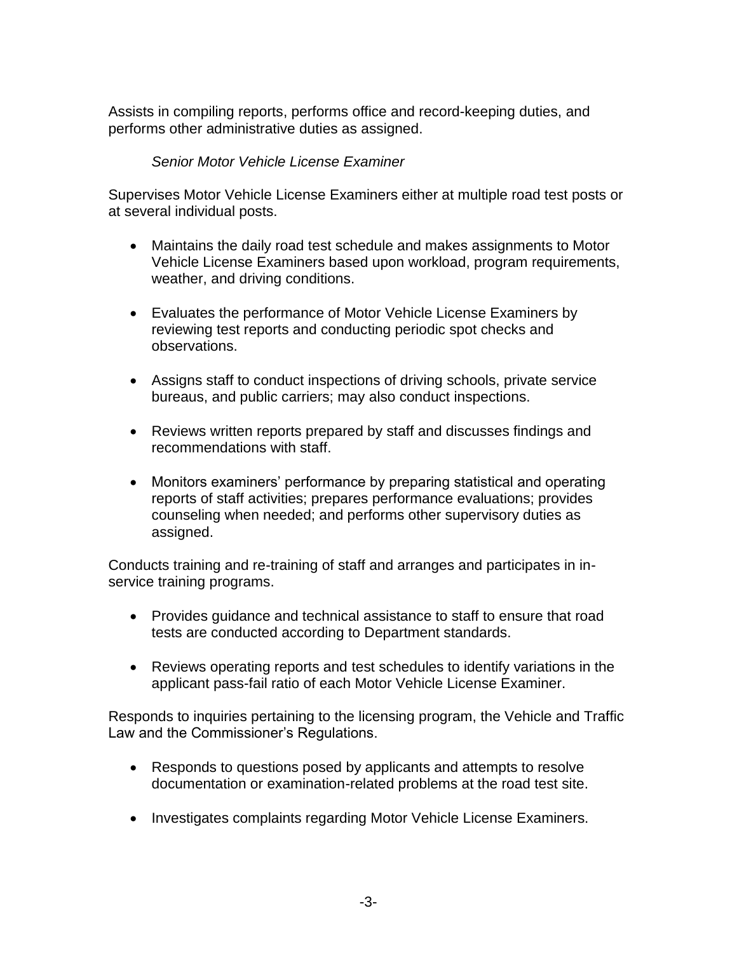Assists in compiling reports, performs office and record-keeping duties, and performs other administrative duties as assigned.

## *Senior Motor Vehicle License Examiner*

Supervises Motor Vehicle License Examiners either at multiple road test posts or at several individual posts.

- Maintains the daily road test schedule and makes assignments to Motor Vehicle License Examiners based upon workload, program requirements, weather, and driving conditions.
- Evaluates the performance of Motor Vehicle License Examiners by reviewing test reports and conducting periodic spot checks and observations.
- Assigns staff to conduct inspections of driving schools, private service bureaus, and public carriers; may also conduct inspections.
- Reviews written reports prepared by staff and discusses findings and recommendations with staff.
- Monitors examiners' performance by preparing statistical and operating reports of staff activities; prepares performance evaluations; provides counseling when needed; and performs other supervisory duties as assigned.

Conducts training and re-training of staff and arranges and participates in inservice training programs.

- Provides guidance and technical assistance to staff to ensure that road tests are conducted according to Department standards.
- Reviews operating reports and test schedules to identify variations in the applicant pass-fail ratio of each Motor Vehicle License Examiner.

Responds to inquiries pertaining to the licensing program, the Vehicle and Traffic Law and the Commissioner's Regulations.

- Responds to questions posed by applicants and attempts to resolve documentation or examination-related problems at the road test site.
- Investigates complaints regarding Motor Vehicle License Examiners.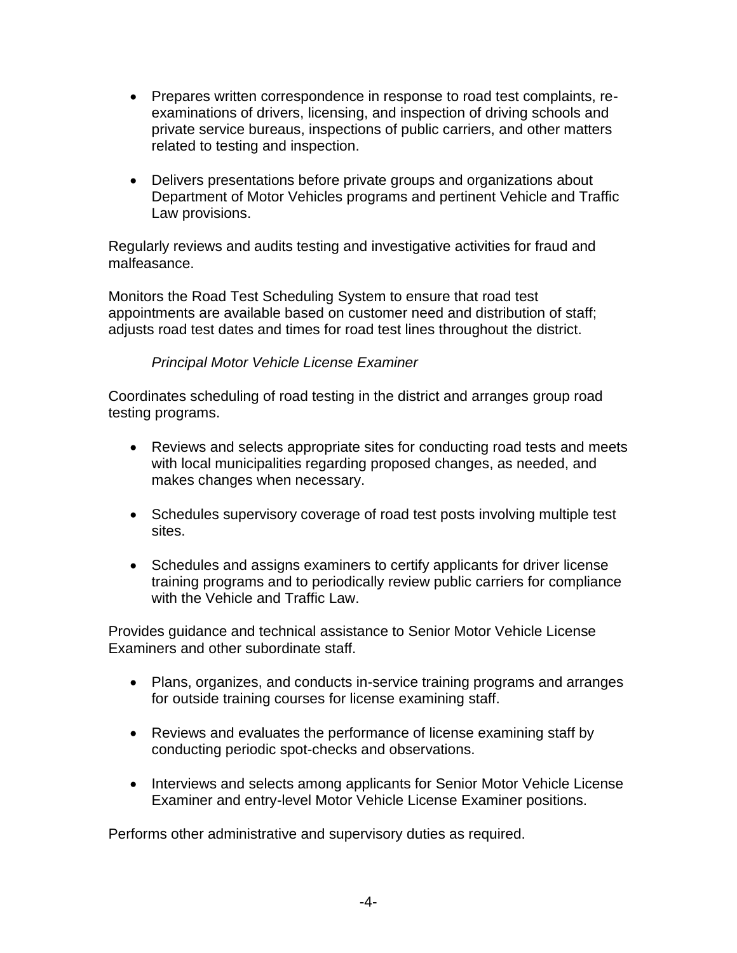- Prepares written correspondence in response to road test complaints, reexaminations of drivers, licensing, and inspection of driving schools and private service bureaus, inspections of public carriers, and other matters related to testing and inspection.
- Delivers presentations before private groups and organizations about Department of Motor Vehicles programs and pertinent Vehicle and Traffic Law provisions.

Regularly reviews and audits testing and investigative activities for fraud and malfeasance.

Monitors the Road Test Scheduling System to ensure that road test appointments are available based on customer need and distribution of staff; adjusts road test dates and times for road test lines throughout the district.

# *Principal Motor Vehicle License Examiner*

Coordinates scheduling of road testing in the district and arranges group road testing programs.

- Reviews and selects appropriate sites for conducting road tests and meets with local municipalities regarding proposed changes, as needed, and makes changes when necessary.
- Schedules supervisory coverage of road test posts involving multiple test sites.
- Schedules and assigns examiners to certify applicants for driver license training programs and to periodically review public carriers for compliance with the Vehicle and Traffic Law.

Provides guidance and technical assistance to Senior Motor Vehicle License Examiners and other subordinate staff.

- Plans, organizes, and conducts in-service training programs and arranges for outside training courses for license examining staff.
- Reviews and evaluates the performance of license examining staff by conducting periodic spot-checks and observations.
- Interviews and selects among applicants for Senior Motor Vehicle License Examiner and entry-level Motor Vehicle License Examiner positions.

Performs other administrative and supervisory duties as required.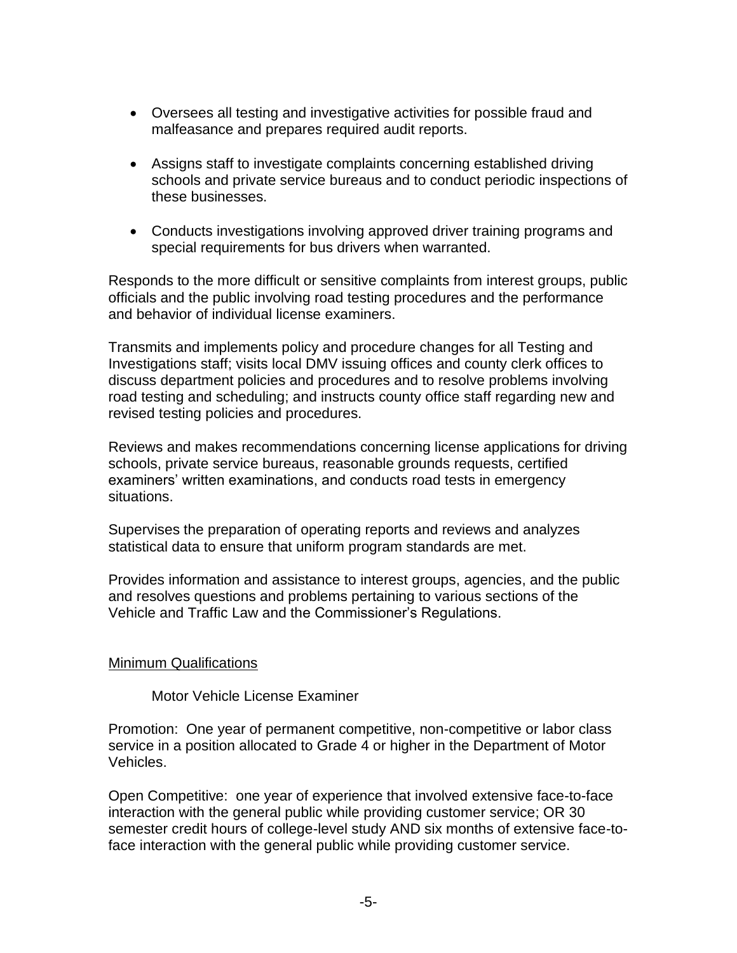- Oversees all testing and investigative activities for possible fraud and malfeasance and prepares required audit reports.
- Assigns staff to investigate complaints concerning established driving schools and private service bureaus and to conduct periodic inspections of these businesses.
- Conducts investigations involving approved driver training programs and special requirements for bus drivers when warranted.

Responds to the more difficult or sensitive complaints from interest groups, public officials and the public involving road testing procedures and the performance and behavior of individual license examiners.

Transmits and implements policy and procedure changes for all Testing and Investigations staff; visits local DMV issuing offices and county clerk offices to discuss department policies and procedures and to resolve problems involving road testing and scheduling; and instructs county office staff regarding new and revised testing policies and procedures.

Reviews and makes recommendations concerning license applications for driving schools, private service bureaus, reasonable grounds requests, certified examiners' written examinations, and conducts road tests in emergency situations.

Supervises the preparation of operating reports and reviews and analyzes statistical data to ensure that uniform program standards are met.

Provides information and assistance to interest groups, agencies, and the public and resolves questions and problems pertaining to various sections of the Vehicle and Traffic Law and the Commissioner's Regulations.

### Minimum Qualifications

Motor Vehicle License Examiner

Promotion: One year of permanent competitive, non-competitive or labor class service in a position allocated to Grade 4 or higher in the Department of Motor Vehicles.

Open Competitive: one year of experience that involved extensive face-to-face interaction with the general public while providing customer service; OR 30 semester credit hours of college-level study AND six months of extensive face-toface interaction with the general public while providing customer service.